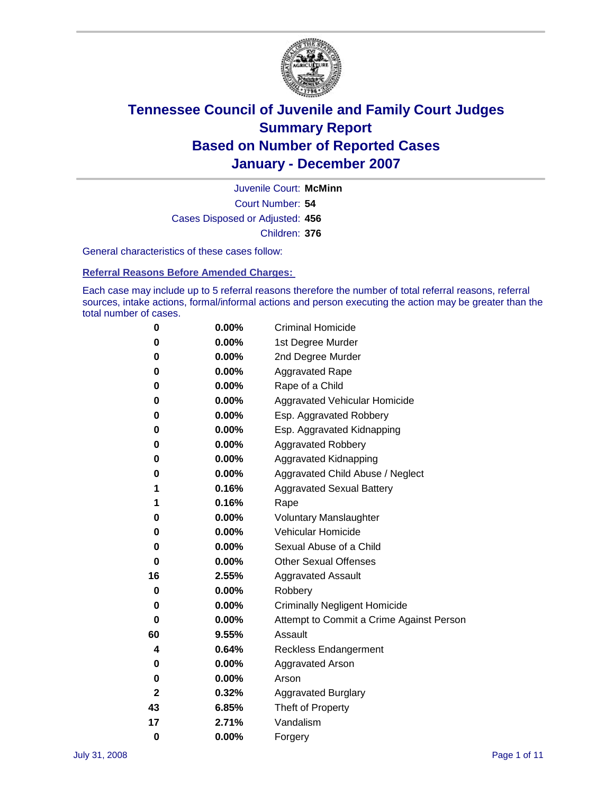

Court Number: **54** Juvenile Court: **McMinn** Cases Disposed or Adjusted: **456** Children: **376**

General characteristics of these cases follow:

**Referral Reasons Before Amended Charges:** 

Each case may include up to 5 referral reasons therefore the number of total referral reasons, referral sources, intake actions, formal/informal actions and person executing the action may be greater than the total number of cases.

| 0  | 0.00% | <b>Criminal Homicide</b>                 |
|----|-------|------------------------------------------|
| 0  | 0.00% | 1st Degree Murder                        |
| 0  | 0.00% | 2nd Degree Murder                        |
| 0  | 0.00% | <b>Aggravated Rape</b>                   |
| 0  | 0.00% | Rape of a Child                          |
| 0  | 0.00% | Aggravated Vehicular Homicide            |
| 0  | 0.00% | Esp. Aggravated Robbery                  |
| 0  | 0.00% | Esp. Aggravated Kidnapping               |
| 0  | 0.00% | <b>Aggravated Robbery</b>                |
| 0  | 0.00% | Aggravated Kidnapping                    |
| 0  | 0.00% | Aggravated Child Abuse / Neglect         |
| 1  | 0.16% | <b>Aggravated Sexual Battery</b>         |
| 1  | 0.16% | Rape                                     |
| 0  | 0.00% | <b>Voluntary Manslaughter</b>            |
| 0  | 0.00% | Vehicular Homicide                       |
| 0  | 0.00% | Sexual Abuse of a Child                  |
| 0  | 0.00% | <b>Other Sexual Offenses</b>             |
| 16 | 2.55% | <b>Aggravated Assault</b>                |
| 0  | 0.00% | Robbery                                  |
| 0  | 0.00% | <b>Criminally Negligent Homicide</b>     |
| 0  | 0.00% | Attempt to Commit a Crime Against Person |
| 60 | 9.55% | Assault                                  |
| 4  | 0.64% | <b>Reckless Endangerment</b>             |
| 0  | 0.00% | <b>Aggravated Arson</b>                  |
| 0  | 0.00% | Arson                                    |
| 2  | 0.32% | <b>Aggravated Burglary</b>               |
| 43 | 6.85% | Theft of Property                        |
| 17 | 2.71% | Vandalism                                |
| 0  | 0.00% | Forgery                                  |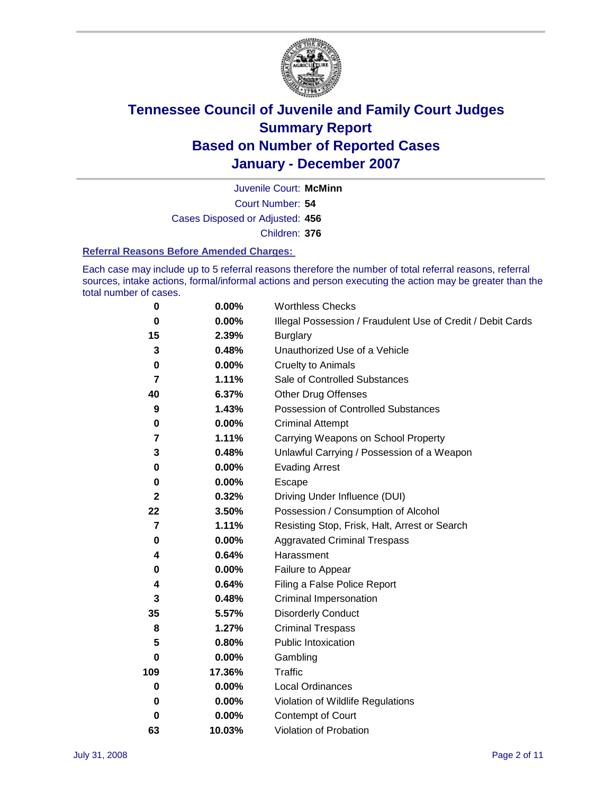

Court Number: **54** Juvenile Court: **McMinn** Cases Disposed or Adjusted: **456** Children: **376**

#### **Referral Reasons Before Amended Charges:**

Each case may include up to 5 referral reasons therefore the number of total referral reasons, referral sources, intake actions, formal/informal actions and person executing the action may be greater than the total number of cases.

| 0              | 0.00%    | <b>Worthless Checks</b>                                     |
|----------------|----------|-------------------------------------------------------------|
| 0              | 0.00%    | Illegal Possession / Fraudulent Use of Credit / Debit Cards |
| 15             | 2.39%    | <b>Burglary</b>                                             |
| 3              | 0.48%    | Unauthorized Use of a Vehicle                               |
| 0              | 0.00%    | <b>Cruelty to Animals</b>                                   |
| 7              | 1.11%    | Sale of Controlled Substances                               |
| 40             | 6.37%    | <b>Other Drug Offenses</b>                                  |
| 9              | 1.43%    | Possession of Controlled Substances                         |
| 0              | 0.00%    | <b>Criminal Attempt</b>                                     |
| 7              | 1.11%    | Carrying Weapons on School Property                         |
| 3              | 0.48%    | Unlawful Carrying / Possession of a Weapon                  |
| 0              | 0.00%    | <b>Evading Arrest</b>                                       |
| 0              | 0.00%    | Escape                                                      |
| $\mathbf{2}$   | 0.32%    | Driving Under Influence (DUI)                               |
| 22             | 3.50%    | Possession / Consumption of Alcohol                         |
| $\overline{7}$ | 1.11%    | Resisting Stop, Frisk, Halt, Arrest or Search               |
| 0              | 0.00%    | <b>Aggravated Criminal Trespass</b>                         |
| 4              | 0.64%    | Harassment                                                  |
| 0              | 0.00%    | Failure to Appear                                           |
| 4              | 0.64%    | Filing a False Police Report                                |
| 3              | 0.48%    | Criminal Impersonation                                      |
| 35             | 5.57%    | <b>Disorderly Conduct</b>                                   |
| 8              | 1.27%    | <b>Criminal Trespass</b>                                    |
| 5              | 0.80%    | <b>Public Intoxication</b>                                  |
| 0              | 0.00%    | Gambling                                                    |
| 109            | 17.36%   | Traffic                                                     |
| 0              | $0.00\%$ | <b>Local Ordinances</b>                                     |
| 0              | $0.00\%$ | Violation of Wildlife Regulations                           |
| 0              | 0.00%    | Contempt of Court                                           |
| 63             | 10.03%   | Violation of Probation                                      |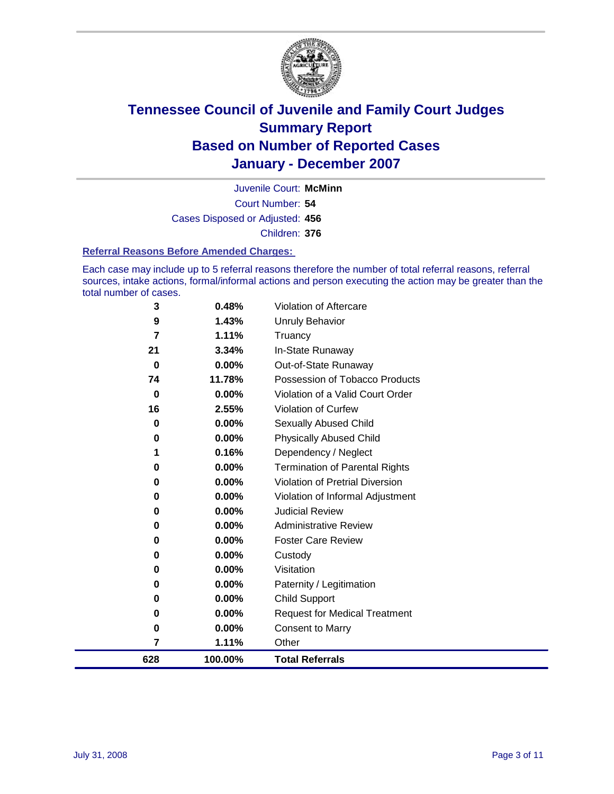

Court Number: **54** Juvenile Court: **McMinn** Cases Disposed or Adjusted: **456** Children: **376**

#### **Referral Reasons Before Amended Charges:**

Each case may include up to 5 referral reasons therefore the number of total referral reasons, referral sources, intake actions, formal/informal actions and person executing the action may be greater than the total number of cases.

| 3           | 0.48%   | Violation of Aftercare                 |
|-------------|---------|----------------------------------------|
| 9           | 1.43%   | <b>Unruly Behavior</b>                 |
| 7           | 1.11%   | Truancy                                |
| 21          | 3.34%   | In-State Runaway                       |
| $\mathbf 0$ | 0.00%   | Out-of-State Runaway                   |
| 74          | 11.78%  | Possession of Tobacco Products         |
| 0           | 0.00%   | Violation of a Valid Court Order       |
| 16          | 2.55%   | Violation of Curfew                    |
| 0           | 0.00%   | Sexually Abused Child                  |
| 0           | 0.00%   | <b>Physically Abused Child</b>         |
| 1           | 0.16%   | Dependency / Neglect                   |
| 0           | 0.00%   | <b>Termination of Parental Rights</b>  |
| 0           | 0.00%   | <b>Violation of Pretrial Diversion</b> |
| 0           | 0.00%   | Violation of Informal Adjustment       |
| 0           | 0.00%   | <b>Judicial Review</b>                 |
| 0           | 0.00%   | <b>Administrative Review</b>           |
| 0           | 0.00%   | <b>Foster Care Review</b>              |
| 0           | 0.00%   | Custody                                |
| 0           | 0.00%   | Visitation                             |
| 0           | 0.00%   | Paternity / Legitimation               |
| 0           | 0.00%   | <b>Child Support</b>                   |
| 0           | 0.00%   | <b>Request for Medical Treatment</b>   |
| 0           | 0.00%   | <b>Consent to Marry</b>                |
| 7           | 1.11%   | Other                                  |
| 628         | 100.00% | <b>Total Referrals</b>                 |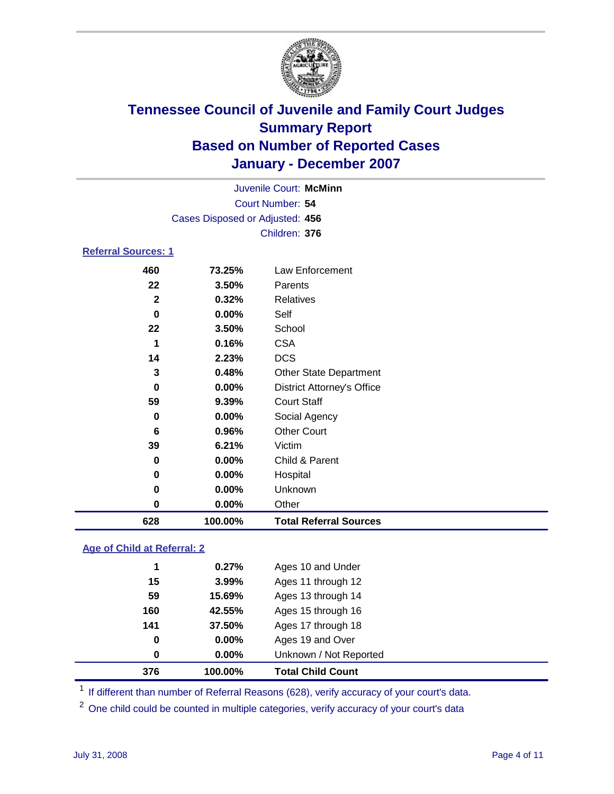

| Juvenile Court: McMinn          |  |
|---------------------------------|--|
| Court Number: 54                |  |
| Cases Disposed or Adjusted: 456 |  |
| Children: 376                   |  |

### **Referral Sources: 1**

| 460          | 73.25%   | Law Enforcement                   |
|--------------|----------|-----------------------------------|
| 22           | 3.50%    | Parents                           |
| $\mathbf{2}$ | 0.32%    | Relatives                         |
| $\mathbf 0$  | $0.00\%$ | Self                              |
| 22           | 3.50%    | School                            |
| 1            | 0.16%    | <b>CSA</b>                        |
| 14           | 2.23%    | <b>DCS</b>                        |
| 3            | 0.48%    | <b>Other State Department</b>     |
| 0            | 0.00%    | <b>District Attorney's Office</b> |
| 59           | 9.39%    | <b>Court Staff</b>                |
| $\mathbf 0$  | 0.00%    | Social Agency                     |
| 6            | 0.96%    | <b>Other Court</b>                |
| 39           | 6.21%    | Victim                            |
| $\mathbf 0$  | 0.00%    | Child & Parent                    |
| $\mathbf 0$  | 0.00%    | Hospital                          |
| $\mathbf 0$  | 0.00%    | Unknown                           |
| $\mathbf 0$  | 0.00%    | Other                             |
| 628          | 100.00%  | <b>Total Referral Sources</b>     |
|              |          |                                   |

### **Age of Child at Referral: 2**

| $0.00\%$<br>0.00% | Ages 19 and Over<br>Unknown / Not Reported |  |
|-------------------|--------------------------------------------|--|
|                   |                                            |  |
|                   |                                            |  |
| 37.50%            | Ages 17 through 18                         |  |
| 42.55%            | Ages 15 through 16                         |  |
| 15.69%            | Ages 13 through 14                         |  |
| 3.99%             | Ages 11 through 12                         |  |
| 0.27%             | Ages 10 and Under                          |  |
|                   |                                            |  |

<sup>1</sup> If different than number of Referral Reasons (628), verify accuracy of your court's data.

One child could be counted in multiple categories, verify accuracy of your court's data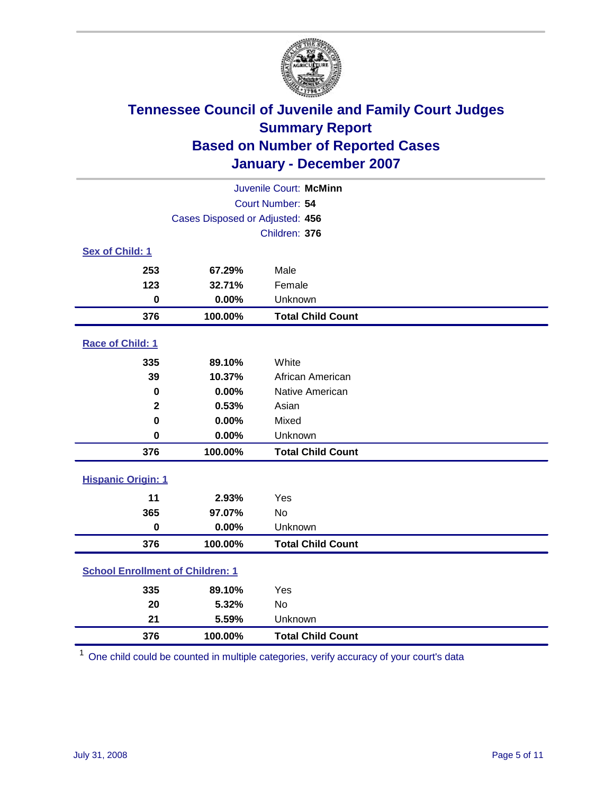

| Juvenile Court: McMinn                  |                                 |                          |  |  |  |
|-----------------------------------------|---------------------------------|--------------------------|--|--|--|
| Court Number: 54                        |                                 |                          |  |  |  |
|                                         | Cases Disposed or Adjusted: 456 |                          |  |  |  |
|                                         | Children: 376                   |                          |  |  |  |
| Sex of Child: 1                         |                                 |                          |  |  |  |
| 253                                     | 67.29%                          | Male                     |  |  |  |
| 123                                     | 32.71%                          | Female                   |  |  |  |
| $\bf{0}$                                | 0.00%                           | Unknown                  |  |  |  |
| 376                                     | 100.00%                         | <b>Total Child Count</b> |  |  |  |
| Race of Child: 1                        |                                 |                          |  |  |  |
| 335                                     | 89.10%                          | White                    |  |  |  |
| 39                                      | 10.37%                          | African American         |  |  |  |
| 0                                       | 0.00%                           | Native American          |  |  |  |
| $\mathbf{2}$                            | 0.53%                           | Asian                    |  |  |  |
| $\mathbf 0$                             | 0.00%                           | Mixed                    |  |  |  |
| $\bf{0}$                                | 0.00%                           | Unknown                  |  |  |  |
| 376                                     | 100.00%                         | <b>Total Child Count</b> |  |  |  |
| <b>Hispanic Origin: 1</b>               |                                 |                          |  |  |  |
| 11                                      | 2.93%                           | Yes                      |  |  |  |
| 365                                     | 97.07%                          | <b>No</b>                |  |  |  |
| $\pmb{0}$                               | 0.00%                           | Unknown                  |  |  |  |
| 376                                     | 100.00%                         | <b>Total Child Count</b> |  |  |  |
| <b>School Enrollment of Children: 1</b> |                                 |                          |  |  |  |
| 335                                     | 89.10%                          | Yes                      |  |  |  |
| 20                                      | 5.32%                           | <b>No</b>                |  |  |  |
| 21                                      | 5.59%                           | Unknown                  |  |  |  |
| 376                                     | 100.00%                         | <b>Total Child Count</b> |  |  |  |

One child could be counted in multiple categories, verify accuracy of your court's data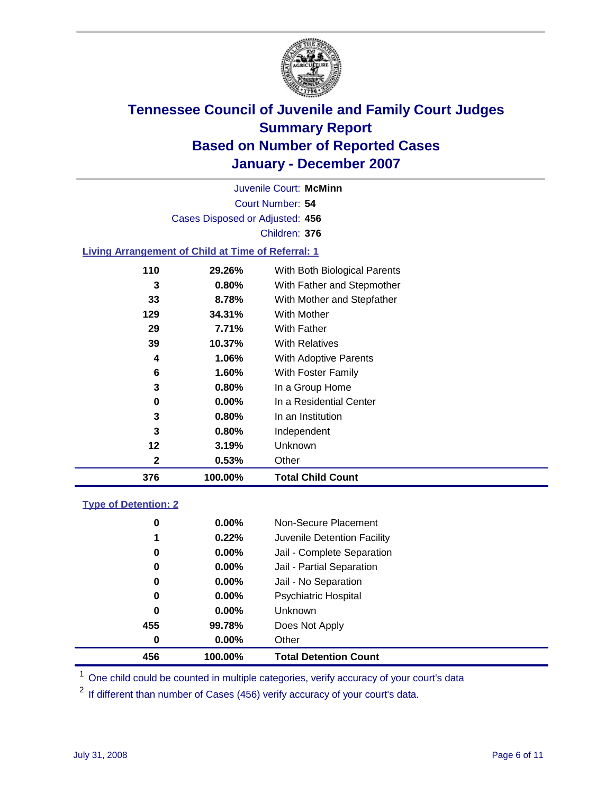

Court Number: **54** Juvenile Court: **McMinn** Cases Disposed or Adjusted: **456** Children: **376**

#### **Living Arrangement of Child at Time of Referral: 1**

| 376 | 100.00%  | <b>Total Child Count</b>     |
|-----|----------|------------------------------|
| 2   | 0.53%    | Other                        |
| 12  | 3.19%    | Unknown                      |
| 3   | 0.80%    | Independent                  |
| 3   | 0.80%    | In an Institution            |
| 0   | $0.00\%$ | In a Residential Center      |
| 3   | 0.80%    | In a Group Home              |
| 6   | $1.60\%$ | With Foster Family           |
| 4   | 1.06%    | With Adoptive Parents        |
| 39  | 10.37%   | <b>With Relatives</b>        |
| 29  | 7.71%    | <b>With Father</b>           |
| 129 | 34.31%   | With Mother                  |
| 33  | 8.78%    | With Mother and Stepfather   |
| 3   | $0.80\%$ | With Father and Stepmother   |
| 110 | 29.26%   | With Both Biological Parents |
|     |          |                              |

#### **Type of Detention: 2**

| 456 | 100.00%  | <b>Total Detention Count</b> |
|-----|----------|------------------------------|
| 0   | $0.00\%$ | Other                        |
| 455 | 99.78%   | Does Not Apply               |
| 0   | $0.00\%$ | Unknown                      |
| 0   | $0.00\%$ | <b>Psychiatric Hospital</b>  |
| 0   | 0.00%    | Jail - No Separation         |
| 0   | $0.00\%$ | Jail - Partial Separation    |
| 0   | $0.00\%$ | Jail - Complete Separation   |
| 1   | 0.22%    | Juvenile Detention Facility  |
| 0   | $0.00\%$ | Non-Secure Placement         |
|     |          |                              |

<sup>1</sup> One child could be counted in multiple categories, verify accuracy of your court's data

<sup>2</sup> If different than number of Cases (456) verify accuracy of your court's data.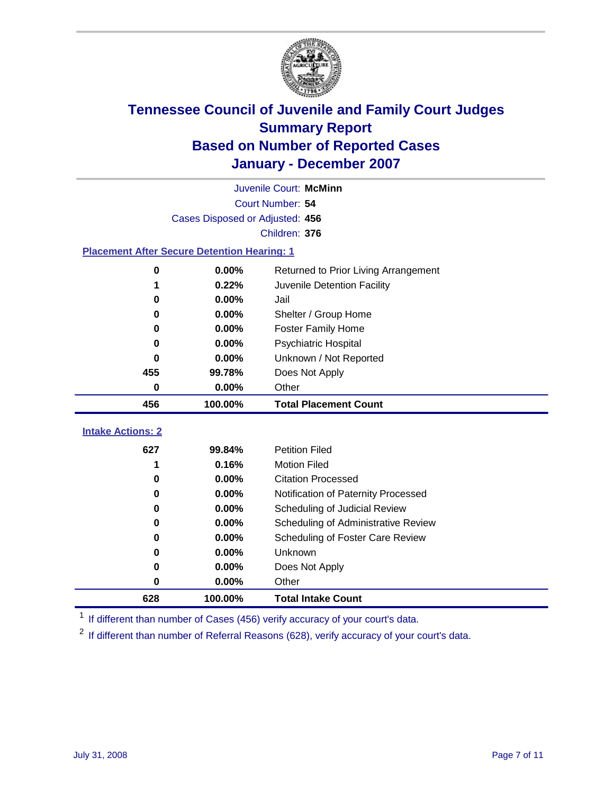

|                                                    | Juvenile Court: McMinn          |                                      |  |  |  |  |
|----------------------------------------------------|---------------------------------|--------------------------------------|--|--|--|--|
|                                                    |                                 | Court Number: 54                     |  |  |  |  |
|                                                    | Cases Disposed or Adjusted: 456 |                                      |  |  |  |  |
|                                                    |                                 | Children: 376                        |  |  |  |  |
| <b>Placement After Secure Detention Hearing: 1</b> |                                 |                                      |  |  |  |  |
| $\bf{0}$                                           | 0.00%                           | Returned to Prior Living Arrangement |  |  |  |  |
| 1                                                  | 0.22%                           | Juvenile Detention Facility          |  |  |  |  |
| 0                                                  | 0.00%                           | Jail                                 |  |  |  |  |
| 0                                                  | 0.00%                           | Shelter / Group Home                 |  |  |  |  |
| $\bf{0}$                                           | 0.00%                           | <b>Foster Family Home</b>            |  |  |  |  |
| 0                                                  | 0.00%                           | Psychiatric Hospital                 |  |  |  |  |
| 0                                                  | $0.00\%$                        | Unknown / Not Reported               |  |  |  |  |
| 455                                                | 99.78%                          | Does Not Apply                       |  |  |  |  |
| 0                                                  | 0.00%                           | Other                                |  |  |  |  |
| 456                                                | 100.00%                         | <b>Total Placement Count</b>         |  |  |  |  |
|                                                    |                                 |                                      |  |  |  |  |
| <b>Intake Actions: 2</b>                           |                                 |                                      |  |  |  |  |
| 627                                                | 99.84%                          | <b>Petition Filed</b>                |  |  |  |  |
| 1                                                  | 0.16%                           | <b>Motion Filed</b>                  |  |  |  |  |
| 0                                                  | 0.00%                           | <b>Citation Processed</b>            |  |  |  |  |
| 0                                                  | 0.00%                           | Notification of Paternity Processed  |  |  |  |  |
| 0                                                  | 0.00%                           | Scheduling of Judicial Review        |  |  |  |  |
| 0                                                  | 0.00%                           | Scheduling of Administrative Review  |  |  |  |  |
| 0                                                  | $0.00\%$                        | Scheduling of Foster Care Review     |  |  |  |  |
| 0                                                  | 0.00%                           | Unknown                              |  |  |  |  |
| 0                                                  | 0.00%                           | Does Not Apply                       |  |  |  |  |
| 0                                                  | 0.00%                           | Other                                |  |  |  |  |
| 628                                                | 100.00%                         | <b>Total Intake Count</b>            |  |  |  |  |

<sup>1</sup> If different than number of Cases (456) verify accuracy of your court's data.

<sup>2</sup> If different than number of Referral Reasons (628), verify accuracy of your court's data.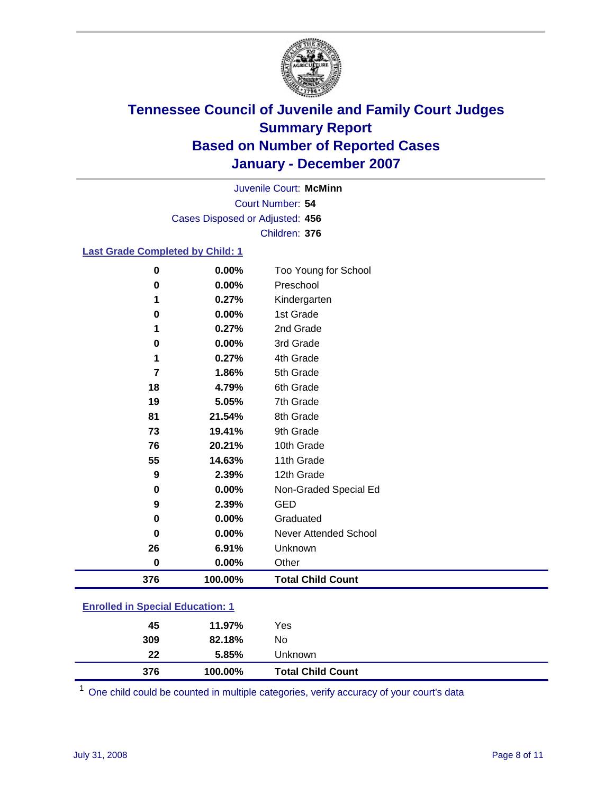

Court Number: **54** Juvenile Court: **McMinn** Cases Disposed or Adjusted: **456** Children: **376**

#### **Last Grade Completed by Child: 1**

| $\bf{0}$ | 0.00%   | Too Young for School     |
|----------|---------|--------------------------|
| 0        | 0.00%   | Preschool                |
| 1        | 0.27%   | Kindergarten             |
| 0        | 0.00%   | 1st Grade                |
| 1        | 0.27%   | 2nd Grade                |
| $\bf{0}$ | 0.00%   | 3rd Grade                |
| 1        | 0.27%   | 4th Grade                |
| 7        | 1.86%   | 5th Grade                |
| 18       | 4.79%   | 6th Grade                |
| 19       | 5.05%   | 7th Grade                |
| 81       | 21.54%  | 8th Grade                |
| 73       | 19.41%  | 9th Grade                |
| 76       | 20.21%  | 10th Grade               |
| 55       | 14.63%  | 11th Grade               |
| 9        | 2.39%   | 12th Grade               |
| 0        | 0.00%   | Non-Graded Special Ed    |
| 9        | 2.39%   | <b>GED</b>               |
| 0        | 0.00%   | Graduated                |
| $\bf{0}$ | 0.00%   | Never Attended School    |
| 26       | 6.91%   | Unknown                  |
| 0        | 0.00%   | Other                    |
| 376      | 100.00% | <b>Total Child Count</b> |
|          |         |                          |

### **Enrolled in Special Education: 1**

| 376 | 100.00% | <b>Total Child Count</b> |  |
|-----|---------|--------------------------|--|
| 22  | 5.85%   | Unknown                  |  |
| 309 | 82.18%  | No                       |  |
| 45  | 11.97%  | Yes                      |  |
|     |         |                          |  |

<sup>1</sup> One child could be counted in multiple categories, verify accuracy of your court's data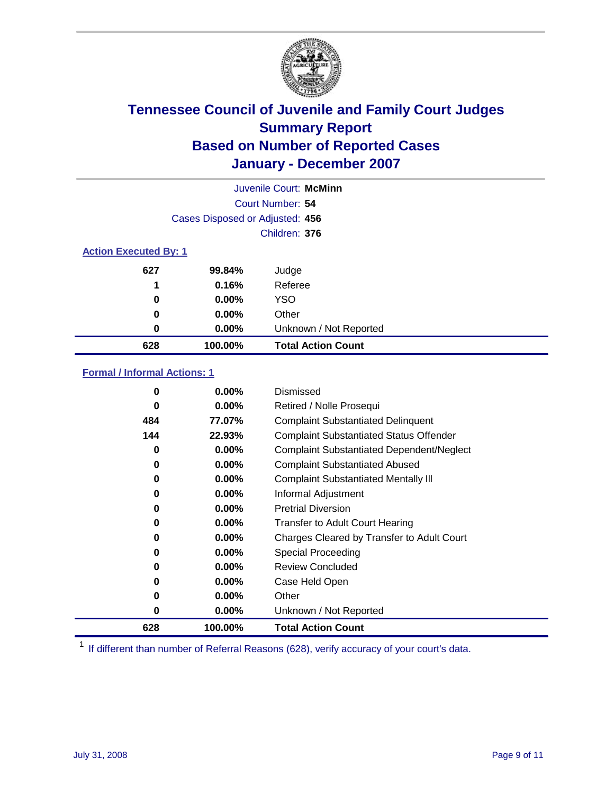

|                              |                                 | Juvenile Court: McMinn    |  |
|------------------------------|---------------------------------|---------------------------|--|
| Court Number: 54             |                                 |                           |  |
|                              | Cases Disposed or Adjusted: 456 |                           |  |
|                              |                                 | Children: 376             |  |
| <b>Action Executed By: 1</b> |                                 |                           |  |
| 627                          | 99.84%                          | Judge                     |  |
| 1                            | 0.16%                           | Referee                   |  |
| 0                            | $0.00\%$                        | <b>YSO</b>                |  |
| 0                            | $0.00\%$                        | Other                     |  |
| 0                            | $0.00\%$                        | Unknown / Not Reported    |  |
| 628                          | 100.00%                         | <b>Total Action Count</b> |  |

### **Formal / Informal Actions: 1**

| $\bf{0}$ | $0.00\%$ | Dismissed                                        |
|----------|----------|--------------------------------------------------|
| 0        | $0.00\%$ | Retired / Nolle Prosequi                         |
| 484      | 77.07%   | <b>Complaint Substantiated Delinquent</b>        |
| 144      | 22.93%   | <b>Complaint Substantiated Status Offender</b>   |
| 0        | $0.00\%$ | <b>Complaint Substantiated Dependent/Neglect</b> |
| 0        | $0.00\%$ | <b>Complaint Substantiated Abused</b>            |
| 0        | $0.00\%$ | <b>Complaint Substantiated Mentally III</b>      |
| 0        | $0.00\%$ | Informal Adjustment                              |
| 0        | $0.00\%$ | <b>Pretrial Diversion</b>                        |
| 0        | $0.00\%$ | <b>Transfer to Adult Court Hearing</b>           |
| 0        | $0.00\%$ | Charges Cleared by Transfer to Adult Court       |
| 0        | $0.00\%$ | Special Proceeding                               |
| 0        | $0.00\%$ | <b>Review Concluded</b>                          |
| 0        | $0.00\%$ | Case Held Open                                   |
| 0        | $0.00\%$ | Other                                            |
| 0        | $0.00\%$ | Unknown / Not Reported                           |
| 628      | 100.00%  | <b>Total Action Count</b>                        |

<sup>1</sup> If different than number of Referral Reasons (628), verify accuracy of your court's data.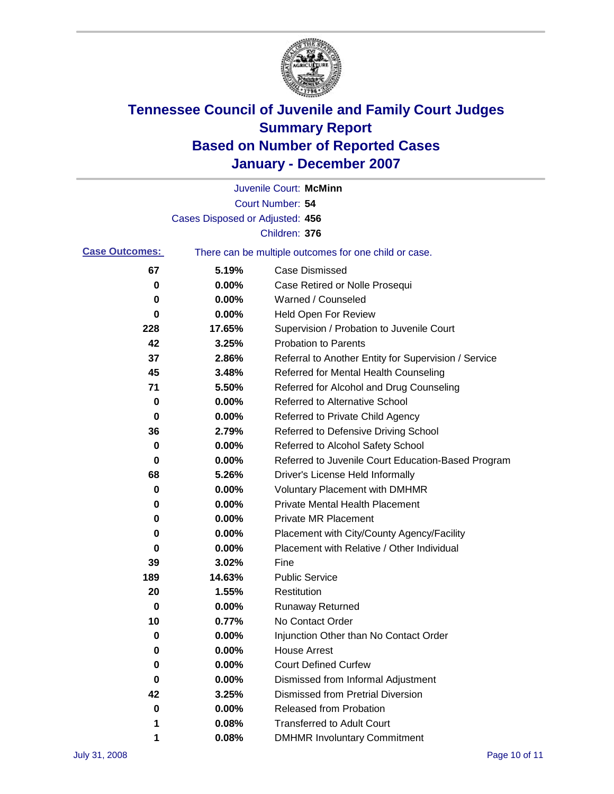

|                       |                                 | Juvenile Court: McMinn                                |
|-----------------------|---------------------------------|-------------------------------------------------------|
|                       |                                 | Court Number: 54                                      |
|                       | Cases Disposed or Adjusted: 456 |                                                       |
|                       |                                 | Children: 376                                         |
| <b>Case Outcomes:</b> |                                 | There can be multiple outcomes for one child or case. |
| 67                    | 5.19%                           | <b>Case Dismissed</b>                                 |
| 0                     | 0.00%                           | Case Retired or Nolle Prosequi                        |
| 0                     | 0.00%                           | Warned / Counseled                                    |
| 0                     | 0.00%                           | Held Open For Review                                  |
| 228                   | 17.65%                          | Supervision / Probation to Juvenile Court             |
| 42                    | 3.25%                           | <b>Probation to Parents</b>                           |
| 37                    | 2.86%                           | Referral to Another Entity for Supervision / Service  |
| 45                    | 3.48%                           | Referred for Mental Health Counseling                 |
| 71                    | 5.50%                           | Referred for Alcohol and Drug Counseling              |
| 0                     | 0.00%                           | <b>Referred to Alternative School</b>                 |
| 0                     | 0.00%                           | Referred to Private Child Agency                      |
| 36                    | 2.79%                           | Referred to Defensive Driving School                  |
| 0                     | 0.00%                           | Referred to Alcohol Safety School                     |
| 0                     | 0.00%                           | Referred to Juvenile Court Education-Based Program    |
| 68                    | 5.26%                           | Driver's License Held Informally                      |
| 0                     | 0.00%                           | <b>Voluntary Placement with DMHMR</b>                 |
| 0                     | 0.00%                           | <b>Private Mental Health Placement</b>                |
| 0                     | 0.00%                           | <b>Private MR Placement</b>                           |
| 0                     | 0.00%                           | Placement with City/County Agency/Facility            |
| 0                     | 0.00%                           | Placement with Relative / Other Individual            |
| 39                    | 3.02%                           | Fine                                                  |
| 189                   | 14.63%                          | <b>Public Service</b>                                 |
| 20                    | 1.55%                           | Restitution                                           |
| 0                     | 0.00%                           | <b>Runaway Returned</b>                               |
| 10                    | 0.77%                           | No Contact Order                                      |
| 0                     | 0.00%                           | Injunction Other than No Contact Order                |
| 0                     | 0.00%                           | <b>House Arrest</b>                                   |
| 0                     | 0.00%                           | <b>Court Defined Curfew</b>                           |
| 0                     | 0.00%                           | Dismissed from Informal Adjustment                    |
| 42                    | 3.25%                           | <b>Dismissed from Pretrial Diversion</b>              |
| 0                     | 0.00%                           | <b>Released from Probation</b>                        |
| 1                     | 0.08%                           | <b>Transferred to Adult Court</b>                     |
| 1                     | 0.08%                           | <b>DMHMR Involuntary Commitment</b>                   |